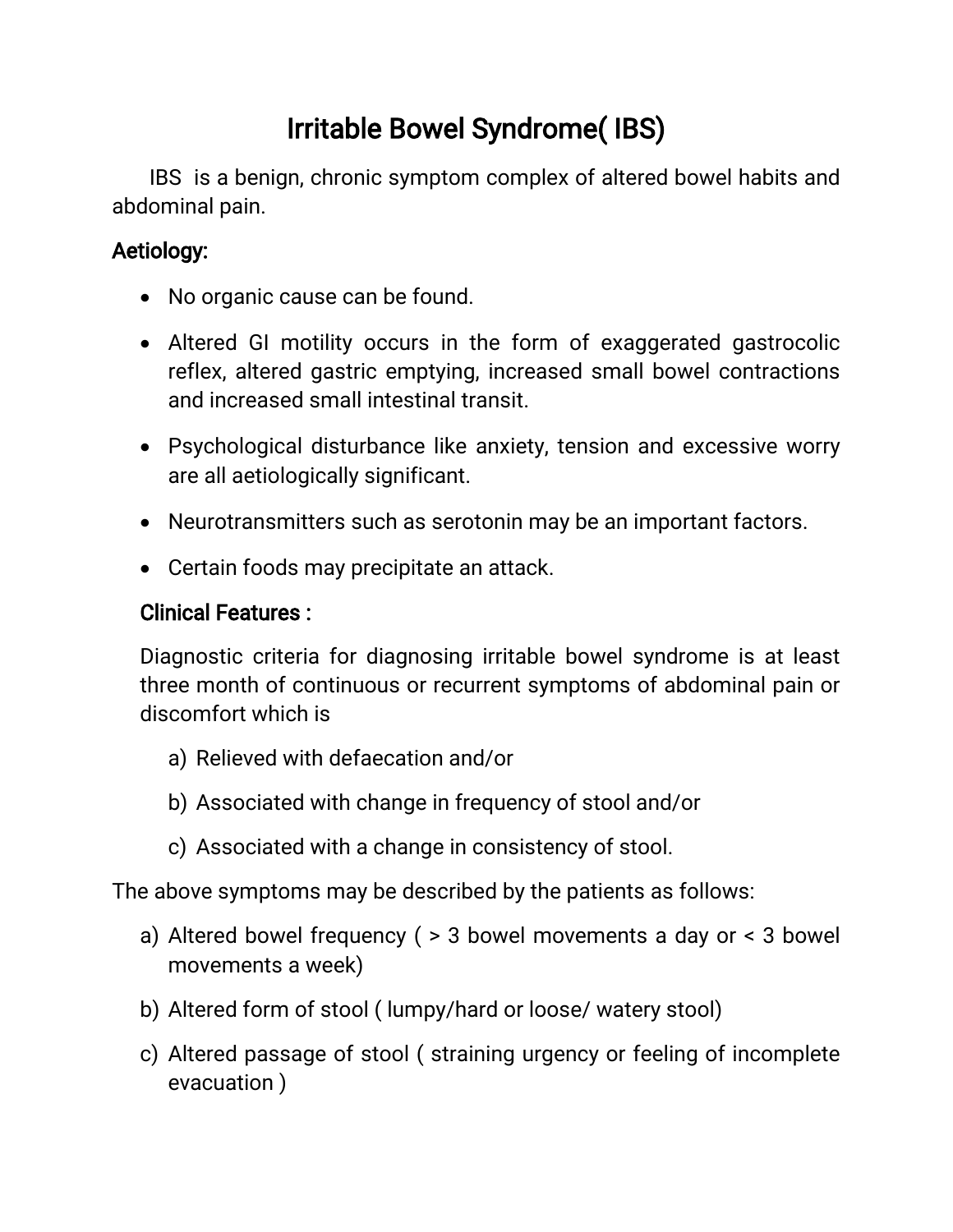# Irritable Bowel Syndrome(IBS)

IBS is a benign, chronic symptom complex of altered bowel habits and abdominal pain.

## Aetiology:

- No organic cause can be found.
- Altered GI motility occurs in the form of exaggerated gastrocolic reflex, altered gastric emptying, increased small bowel contractions and increased small intestinal transit.
- Psychological disturbance like anxiety, tension and excessive worry are all aetiologically significant.
- Neurotransmitters such as serotonin may be an important factors.
- Certain foods may precipitate an attack.

### **Clinical Features:**

Diagnostic criteria for diagnosing irritable bowel syndrome is at least three month of continuous or recurrent symptoms of abdominal pain or discomfort which is

- a) Relieved with defaecation and/or
- b) Associated with change in frequency of stool and/or
- c) Associated with a change in consistency of stool.

The above symptoms may be described by the patients as follows:

- a) Altered bowel frequency ( $>$  3 bowel movements a day or  $<$  3 bowel movements a week)
- b) Altered form of stool (lumpy/hard or loose/watery stool)
- c) Altered passage of stool (straining urgency or feeling of incomplete evacuation)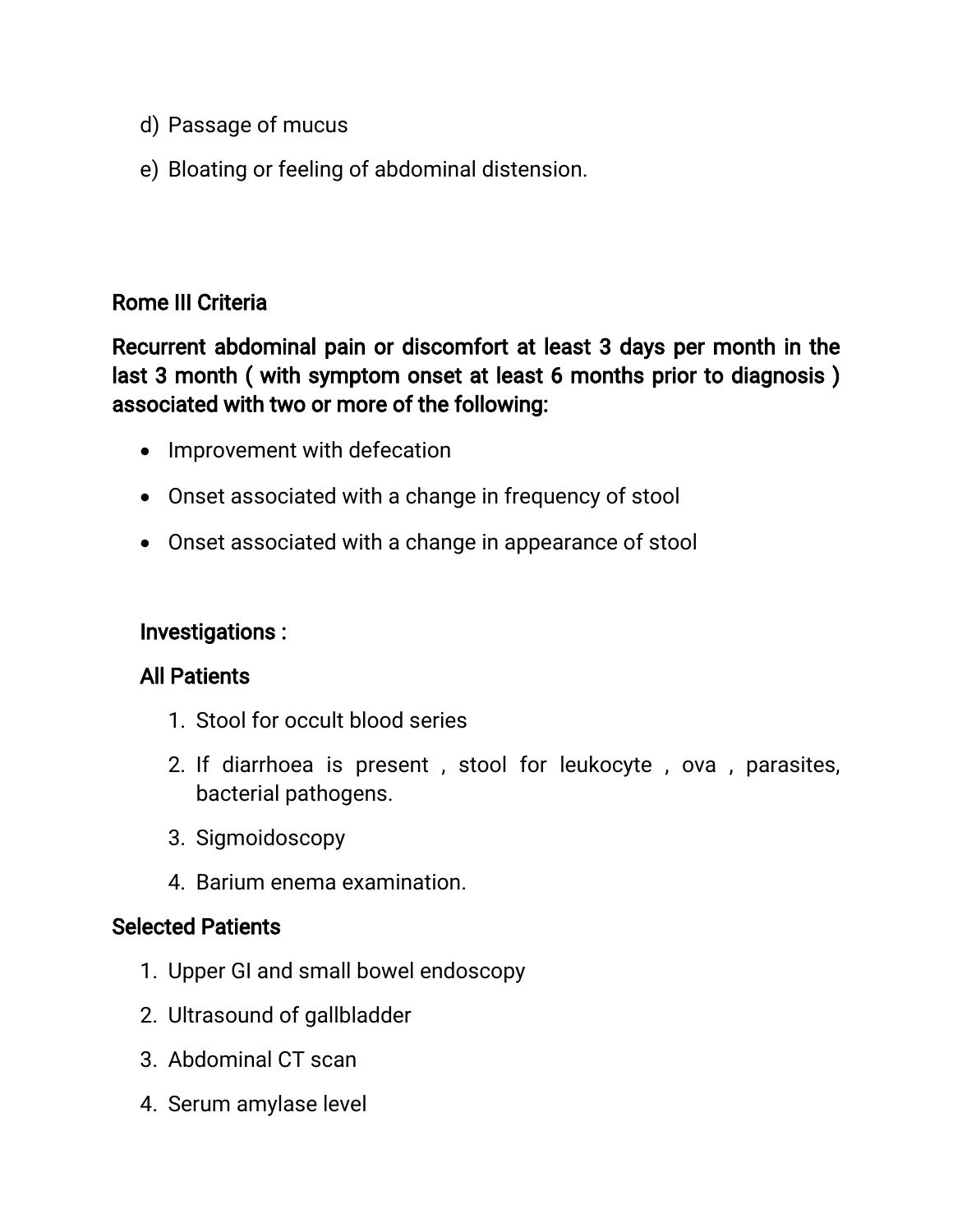- d) Passage of mucus
- e) Bloating or feeling of abdominal distension.

#### Rome III Criteria

Recurrent abdominal pain or discomfort at least 3 days per month in the last 3 month (with symptom onset at least 6 months prior to diagnosis) associated with two or more of the following:

- Improvement with defecation
- Onset associated with a change in frequency of stool
- Onset associated with a change in appearance of stool

#### Investigations:

#### **All Patients**

- 1. Stool for occult blood series
- 2. If diarrhoea is present, stool for leukocyte, ova, parasites, bacterial pathogens.
- 3.Sigmoidoscopy
- 4. Barium enema examination.

#### **Selected Patients**

- 1. Upper GI and small bowel endoscopy
- 2. Ultrasound of gallbladder
- 3. Abdominal CT scan
- 4. Serum amylase level